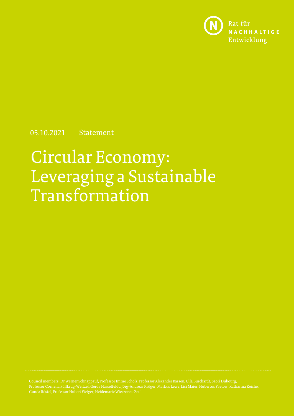

05.10.2021 Statement

# Circular Economy: Leveraging a Sustainable Transformation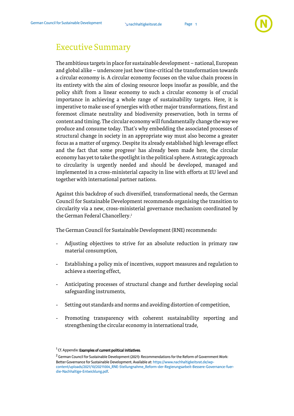

## <span id="page-1-0"></span>Executive Summary

The ambitious targets in place for sustainable development – national, European and global alike – underscore just how time-critical the transformation towards a circular economy is. A circular economy focuses on the value chain process in its entirety with the aim of closing resource loops insofar as possible, and the policy shift from a linear economy to such a circular economy is of crucial importance in achieving a whole range of sustainability targets. Here, it is imperative to make use of synergies with other major transformations, first and foremost climate neutrality and biodiversity preservation, both in terms of content and timing. The circular economy will fundamentally change the way we produce and consume today. That's why embedding the associated processes of structural change in society in an appropriate way must also become a greater focus as a matter of urgency. Despite its already established high leverage effect and the fact that some progress<sup>1</sup> has already been made here, the circular economy has yet to take the spotlight in the political sphere. Astrategic approach to circularity is urgently needed and should be developed, managed and implemented in a cross-ministerial capacity in line with efforts at EU level and together with international partner nations.

Against this backdrop of such diversified, transformational needs, the German Council for Sustainable Development recommends organising the transition to circularity via a new, cross-ministerial governance mechanism coordinated by the German Federal Chancellery. 2

The German Council for Sustainable Development (RNE) recommends:

- Adjusting objectives to strive for an absolute reduction in primary raw material consumption,
- Establishing a policy mix of incentives, support measures and regulation to achieve a steering effect,
- Anticipating processes of structural change and further developing social safeguarding instruments,
- Setting out standards and norms and avoiding distortion of competition,
- Promoting transparency with coherent sustainability reporting and strengthening the circular economy in international trade,

 $^1$  Cf. Appendix: **Examples of current political initiatives**.

 $2$  German Council for Sustainable Development (2021): Recommendations for the Reform of Government Work: Better Governance for Sustainable Development. Available at[: https://www.nachhaltigkeitsrat.de/wp](https://www.nachhaltigkeitsrat.de/wp-content/uploads/2021/10/20211004_RNE-Stellungnahme_Reform-der-Regierungsarbeit-Bessere-Governance-fuer-die-Nachhaltige-Entwicklung.pdf)[content/uploads/2021/10/20211004\\_RNE-Stellungnahme\\_Reform-der-Regierungsarbeit-Bessere-Governance-fuer](https://www.nachhaltigkeitsrat.de/wp-content/uploads/2021/10/20211004_RNE-Stellungnahme_Reform-der-Regierungsarbeit-Bessere-Governance-fuer-die-Nachhaltige-Entwicklung.pdf)[die-Nachhaltige-Entwicklung.pdf.](https://www.nachhaltigkeitsrat.de/wp-content/uploads/2021/10/20211004_RNE-Stellungnahme_Reform-der-Regierungsarbeit-Bessere-Governance-fuer-die-Nachhaltige-Entwicklung.pdf)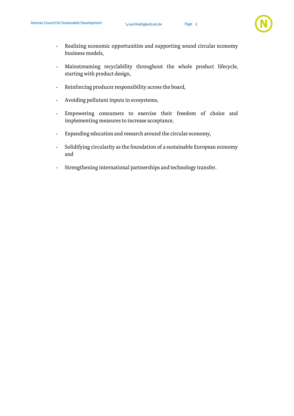

- Realizing economic opportunities and supporting sound circular economy business models,
- Mainstreaming recyclability throughout the whole product lifecycle, starting with product design,
- Reinforcing producer responsibility across the board,
- Avoiding pollutant inputs in ecosystems,
- Empowering consumers to exercise their freedom of choice and implementing measures to increase acceptance,
- Expanding education and research around the circular economy,
- Solidifying circularity as the foundation of a sustainable European economy and
- Strengthening international partnerships and technology transfer.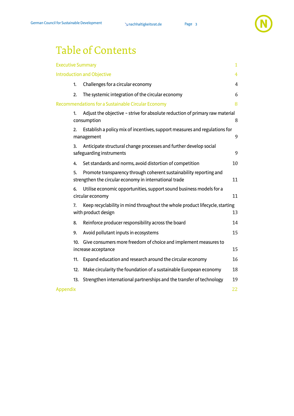## Table of Contents

|                 |                                                                                                          | <b>Executive Summary</b>                                                                                                     | $\mathbf{1}$   |  |
|-----------------|----------------------------------------------------------------------------------------------------------|------------------------------------------------------------------------------------------------------------------------------|----------------|--|
|                 |                                                                                                          | <b>Introduction and Objective</b>                                                                                            | $\overline{4}$ |  |
|                 | 1.                                                                                                       | Challenges for a circular economy                                                                                            | 4              |  |
|                 | 2.                                                                                                       | The systemic integration of the circular economy                                                                             | 6              |  |
|                 |                                                                                                          | <b>Recommendations for a Sustainable Circular Economy</b>                                                                    | 8              |  |
|                 | 1.                                                                                                       | Adjust the objective - strive for absolute reduction of primary raw material<br>consumption                                  | 8              |  |
|                 | Establish a policy mix of incentives, support measures and regulations for<br>2.<br>management           |                                                                                                                              |                |  |
|                 | Anticipate structural change processes and further develop social<br>3.<br>safeguarding instruments      |                                                                                                                              |                |  |
|                 | 4.                                                                                                       | Set standards and norms, avoid distortion of competition                                                                     | 10             |  |
|                 | 5.                                                                                                       | Promote transparency through coherent sustainability reporting and<br>strengthen the circular economy in international trade | 11             |  |
|                 | 6.                                                                                                       | Utilise economic opportunities, support sound business models for a<br>circular economy                                      | 11             |  |
|                 | Keep recyclability in mind throughout the whole product lifecycle, starting<br>7.<br>with product design |                                                                                                                              |                |  |
|                 | 8.                                                                                                       | Reinforce producer responsibility across the board                                                                           | 14             |  |
|                 | 9.                                                                                                       | Avoid pollutant inputs in ecosystems                                                                                         | 15             |  |
|                 | Give consumers more freedom of choice and implement measures to<br>10.<br>increase acceptance            |                                                                                                                              |                |  |
|                 | 11.                                                                                                      | Expand education and research around the circular economy                                                                    | 16             |  |
|                 | 12.                                                                                                      | Make circularity the foundation of a sustainable European economy                                                            | 18             |  |
|                 | 13.                                                                                                      | Strengthen international partnerships and the transfer of technology                                                         | 19             |  |
| <b>Appendix</b> |                                                                                                          |                                                                                                                              | 22             |  |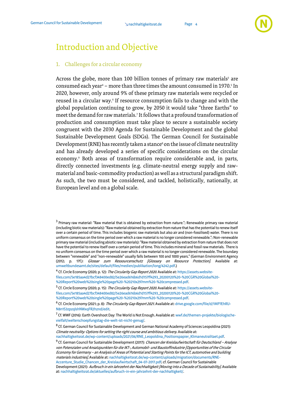

## <span id="page-4-0"></span>Introduction and Objective

#### <span id="page-4-1"></span>1. Challenges for a circular economy

Across the globe, more than 100 billion tonnes of primary raw materials<sup>3</sup> are consumed each year<sup>4</sup> – more than three times the amount consumed in 1970. 5 In 2020, however, only around 9% of these primary raw materials were recycled or reused in a circular way.<sup>6</sup> If resource consumption fails to change and with the global population continuing to grow, by 2050 it would take "three Earths" to meet the demand for raw materials. 7 It follows that a profound transformation of production and consumption must take place to secure a sustainable society congruent with the 2030 Agenda for Sustainable Development and the global Sustainable Development Goals (SDGs). The German Council for Sustainable Development (RNE) has recently taken a stance<sup>8</sup> on the issue of climate neutrality and has already developed a series of specific considerations on the circular economy. <sup>9</sup> Both areas of transformation require considerable and, in parts, directly connected investments (e.g. climate-neutral energy supply and rawmaterial and basic-commodity production) as well as a structural paradigm shift. As such, the two must be considered, and tackled, holistically, nationally, at European level and on a global scale.

 $^3$  Primary raw material: "Raw material that is obtained by extraction from nature."; Renewable primary raw material (including biotic raw materials): "Raw material obtained by extraction from nature that has the potential to renew itself over a certain period of time. This includes biogenic raw materials but also air and (non-fossilised) water. There is no uniform consensus on the time period over which a raw material is no longer considered renewable."; Non-renewable primary raw material (including abiotic raw materials): "Raw material obtained by extraction from nature that does not have the potential to renew itself over a certain period of time. This includes mineral and fossil raw materials. There is no uniform consensus on the time period over which a raw material is no longer considered renewable. The boundary between "renewable" and "non-renewable" usually falls between 100 and 1000 years." (German Environment Agency (2012; p. 17f.): Glossar zum Ressourcenschutz [Glossary on Resource Protection]. Available at: [umweltbundesamt.de/sites/default/files/medien/publikation/long/4242.pdf.\)](https://www.umweltbundesamt.de/sites/default/files/medien/publikation/long/4242.pdf)

<sup>&</sup>lt;sup>4</sup> Cf. Circle Economy (2020; p. 12): *The Circularity Gap Report 2020.* Available at[: https://assets.website](https://assets.website-files.com/5e185aa4d27bcf348400ed82/5e26ead616b6d1d157ff4293_20200120%20-%20CGR%20Global%20-%20Report%20web%20single%20page%20-%20210x297mm%20-%20compressed.pdf)[files.com/5e185aa4d27bcf348400ed82/5e26ead616b6d1d157ff4293\\_20200120%20-%20CGR%20Global%20-](https://assets.website-files.com/5e185aa4d27bcf348400ed82/5e26ead616b6d1d157ff4293_20200120%20-%20CGR%20Global%20-%20Report%20web%20single%20page%20-%20210x297mm%20-%20compressed.pdf) [%20Report%20web%20single%20page%20-%20210x297mm%20-%20compressed.pdf.](https://assets.website-files.com/5e185aa4d27bcf348400ed82/5e26ead616b6d1d157ff4293_20200120%20-%20CGR%20Global%20-%20Report%20web%20single%20page%20-%20210x297mm%20-%20compressed.pdf) 

<sup>&</sup>lt;sup>5</sup> Cf. Circle Economy (2020; p. 15): *The Circularity Gap Report 2020*. Available at[: https://assets.website](https://assets.website-files.com/5e185aa4d27bcf348400ed82/5e26ead616b6d1d157ff4293_20200120%20-%20CGR%20Global%20-%20Report%20web%20single%20page%20-%20210x297mm%20-%20compressed.pdf)[files.com/5e185aa4d27bcf348400ed82/5e26ead616b6d1d157ff4293\\_20200120%20-%20CGR%20Global%20-](https://assets.website-files.com/5e185aa4d27bcf348400ed82/5e26ead616b6d1d157ff4293_20200120%20-%20CGR%20Global%20-%20Report%20web%20single%20page%20-%20210x297mm%20-%20compressed.pdf) [%20Report%20web%20single%20page%20-%20210x297mm%20-%20compressed.pdf.](https://assets.website-files.com/5e185aa4d27bcf348400ed82/5e26ead616b6d1d157ff4293_20200120%20-%20CGR%20Global%20-%20Report%20web%20single%20page%20-%20210x297mm%20-%20compressed.pdf)

<sup>&</sup>lt;sup>6</sup> Cf. Circle Economy (2021; p. 8): *The Circularity Gap Report 2021*. Available at[: drive.google.com/file/d/1MP7EhRU-](https://drive.google.com/file/d/1MP7EhRU-N8n1S3zpzqlshNWxqFR2hznd/edit)[N8n1S3zpzqlshNWxqFR2hznd/edit.](https://drive.google.com/file/d/1MP7EhRU-N8n1S3zpzqlshNWxqFR2hznd/edit)

 $^7$  Cf. WWF (2016): Earth Overshoot Day: The World is Not Enough. Available at: [wwf.de/themen-projekte/biologische](http://www.overshootday.org/newsroom/press-release-june-2020-german/)[vielfalt/welterschoepfungstag-die-welt-ist-nicht-genug/.](http://www.overshootday.org/newsroom/press-release-june-2020-german/) 

<sup>&</sup>lt;sup>8</sup> Cf. German Council for Sustainable Development and German National Academy of Sciences Leopoldina (2021): Climate neutrality: Options for setting the right course and ambitious delivery. Available at: [nachhaltigkeitsrat.de/wp-content/uploads/2021/06/RNE\\_Leopoldina\\_Positionspapier\\_Klimaneutralitaet.pdf.](https://www.nachhaltigkeitsrat.de/wp-content/uploads/2021/06/RNE_Leopoldina_Positionspapier_Klimaneutralitaet.pdf)

<sup>&</sup>lt;sup>9</sup> Cf. German Council for Sustainable Development (2017): *Chancen der Kreislaufwirtschaft für Deutschland – Analyse* von Potenzialen und Ansatzpunkten für die IKT-, Automobil- und Baustoffindustrie [Opportunities of the Circular Economy for Germany – an Analysis of Areas of Potential and Starting Points for the ICT, automotive and building materials industries]. Available at[: nachhaltigkeitsrat.de/wp-content/uploads/migration/documents/RNE-](https://www.nachhaltigkeitsrat.de/wp-content/uploads/migration/documents/RNE-Accenture_Studie_Chancen_der_Kreislaufwirtschaft_04-07-2017.pdf.)[Accenture\\_Studie\\_Chancen\\_der\\_Kreislaufwirtschaft\\_04-07-2017.pdf;](https://www.nachhaltigkeitsrat.de/wp-content/uploads/migration/documents/RNE-Accenture_Studie_Chancen_der_Kreislaufwirtschaft_04-07-2017.pdf.) cf. German Council for Sustainable Development (2021): Aufbruch in ein Jahrzehnt der Nachhaltigkeit [Moving into a Decade of Sustainability]. Available at[: nachhaltigkeitsrat.de/aktuelles/aufbruch-in-ein-jahrzehnt-der-nachhaltigkeit/.](https://www.nachhaltigkeitsrat.de/aktuelles/aufbruch-in-ein-jahrzehnt-der-nachhaltigkeit/)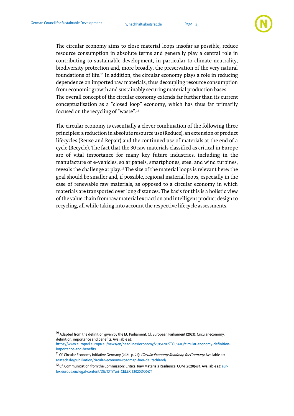

The circular economy aims to close material loops insofar as possible, reduce resource consumption in absolute terms and generally play a central role in contributing to sustainable development, in particular to climate neutrality, biodiversity protection and, more broadly, the preservation of the very natural foundations of life. <sup>10</sup> In addition, the circular economy plays a role in reducing dependence on imported raw materials, thus decoupling resource consumption from economic growth and sustainably securing material production bases. The overall concept of the circular economy extends far further than its current conceptualisation as a "closed loop" economy, which has thus far primarily focused on the recycling of "waste". 11

The circular economy is essentially a clever combination of the following three principles: a reduction in absolute resource use (Reduce), an extension of product lifecycles (Reuse and Repair) and the continued use of materials at the end of a cycle (Recycle). The fact that the 30 raw materials classified as critical in Europe are of vital importance for many key future industries, including in the manufacture of e-vehicles, solar panels, smartphones, steel and wind turbines, reveals the challenge at play. <sup>12</sup> The size of the material loops is relevant here: the goal should be smaller and, if possible, regional material loops, especially in the case of renewable raw materials, as opposed to a circular economy in which materials are transported over long distances. The basis for this is a holistic view of the value chain from raw material extraction and intelligent product design to recycling, all while taking into account the respective lifecycle assessments.

<sup>&</sup>lt;sup>10</sup> Adapted from the definition given by the EU Parliament. Cf. European Parliament (2021): Circular economy: definition, importance and benefits. Available at:

[https://www.europarl.europa.eu/news/en/headlines/economy/20151201STO05603/circular-economy-definition](https://www.europarl.europa.eu/news/en/headlines/economy/20151201STO05603/circular-economy-definition-importance-and-benefits)[importance-and-benefits.](https://www.europarl.europa.eu/news/en/headlines/economy/20151201STO05603/circular-economy-definition-importance-and-benefits)

<sup>&</sup>lt;sup>11</sup> Cf. Circular Economy Initiative Germany (2021; p. 22): Circular Economy Roadmap for Germany. Available at: [acatech.de/publikation/circular-economy-roadmap-fuer-deutschland/.](http://www.acatech.de/publikation/circular-economy-roadmap-fuer-deutschland/) 

<sup>&</sup>lt;sup>12</sup> Cf. Communication from the Commission: Critical Raw Materials Resilience. COM (2020)474. Available at[: eur](https://eur-lex.europa.eu/legal-content/DE/TXT/?uri=CELEX:52020DC0474)[lex.europa.eu/legal-content/DE/TXT/?uri=CELEX:52020DC0474.](https://eur-lex.europa.eu/legal-content/DE/TXT/?uri=CELEX:52020DC0474)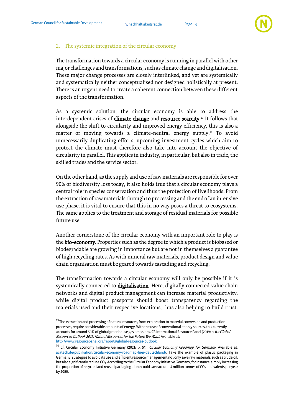

#### <span id="page-6-0"></span>2. The systemic integration of the circular economy

The transformation towards a circular economy is running in parallel with other major challenges and transformations, such as climate change and digitalisation. These major change processes are closely interlinked, and yet are systemically and systematically neither conceptualised nor designed holistically at present. There is an urgent need to create a coherent connection between these different aspects of the transformation.

As a systemic solution, the circular economy is able to address the interdependent crises of **climate change** and **resource scarcity**.<sup>13</sup> It follows that alongside the shift to circularity and improved energy efficiency, this is also a matter of moving towards a climate-neutral energy supply. <sup>14</sup> To avoid unnecessarily duplicating efforts, upcoming investment cycles which aim to protect the climate must therefore also take into account the objective of circularity in parallel. This applies in industry, in particular, but also in trade, the skilled trades and the service sector.

On the other hand, as the supply and use of raw materials are responsible for over 90% of biodiversity loss today, it also holds true that a circular economy plays a central role in species conservation and thus the protection of livelihoods. From the extraction of raw materials through to processing and the end of an intensive use phase, it is vital to ensure that this in no way poses a threat to ecosystems. The same applies to the treatment and storage of residual materials for possible future use.

Another cornerstone of the circular economy with an important role to play is the bio-economy. Properties such as the degree to which a product is biobased or biodegradable are growing in importance but are not in themselves a guarantee of high recycling rates. As with mineral raw materials, product design and value chain organisation must be geared towards cascading and recycling.

The transformation towards a circular economy will only be possible if it is systemically connected to digitalisation. Here, digitally connected value chain networks and digital product management can increase material productivity, while digital product passports should boost transparency regarding the materials used and their respective locations, thus also helping to build trust.

<sup>&</sup>lt;sup>13</sup> The extraction and processing of natural resources, from exploration to material conversion and production processes, require considerable amounts of energy. With the use of conventional energy sources, this currently accounts for around 50% of global greenhouse gas emissions. Cf. International Resource Panel (2019; p. 8*): Global* Resources Outlook 2019: Natural Resources for the Future We Want. Available at: [http://www.resourcepanel.org/reports/global-resources-outlook.](http://www.resourcepanel.org/reports/global-resources-outlook) 

<sup>&</sup>lt;sup>14</sup> Cf. Circular Economy Initiative Germany (2021; p. 51): Circular Economy Roadmap for Germany. Available at: [acatech.de/publikation/circular-economy-roadmap-fuer-deutschland/.](http://www.acatech.de/publikation/circular-economy-roadmap-fuer-deutschland/) Take the example of plastic packaging in Germany: strategies to avoid its use and efficient resource management not only save raw materials, such as crude oil, but also significantly reduce CO2. According to the Circular Economy Initiative Germany, for instance, simply increasing the proportion of recycled and reused packaging alone could save around 4 million tonnes of  $CO<sub>2</sub>$  equivalents per year by 2050.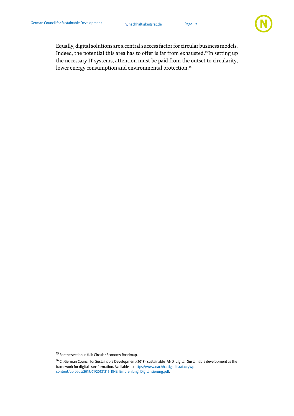Page 7



Equally, digital solutions are a central success factor for circular business models. Indeed, the potential this area has to offer is far from exhausted. <sup>15</sup> In setting up the necessary IT systems, attention must be paid from the outset to circularity, lower energy consumption and environmental protection. $^{\text{\tiny{16}}}$ 

<sup>15</sup> For the section in full: Circular Economy Roadmap.

<sup>16</sup> Cf. German Council for Sustainable Development (2018): sustainable\_AND\_digital: Sustainable development as the framework for digital transformation. Available at[: https://www.nachhaltigkeitsrat.de/wp](https://www.nachhaltigkeitsrat.de/wp-content/uploads/2019/01/20181219_RNE_Empfehlung_Digitalisierung.pdf)[content/uploads/2019/01/20181219\\_RNE\\_Empfehlung\\_Digitalisierung.pdf.](https://www.nachhaltigkeitsrat.de/wp-content/uploads/2019/01/20181219_RNE_Empfehlung_Digitalisierung.pdf)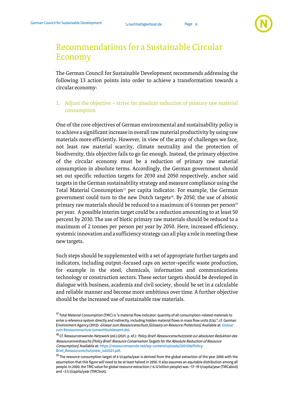

## <span id="page-8-0"></span>Recommendations for a Sustainable Circular Economy

The German Council for Sustainable Development recommends addressing the following 13 action points into order to achieve a transformation towards a circular economy:

<span id="page-8-1"></span>1. Adjust the objective – strive for absolute reduction of primary raw material consumption

One of the core objectives of German environmental and sustainability policy is to achieve a significant increase in overall raw material productivity by using raw materials more efficiently. However, in view of the array of challenges we face, not least raw material scarcity, climate neutrality and the protection of biodiversity, this objective fails to go far enough. Instead, the primary objective of the circular economy must be a reduction of primary raw material consumption in absolute terms. Accordingly, the German government should set out specific reduction targets for 2030 and 2050 respectively, anchor said targets in the German sustainability strategy and measure compliance using the Total Material Consumption<sup>17</sup> per capita indicator. For example, the German government could turn to the new Dutch targets<sup>18</sup>. By 2050, the use of abiotic primary raw materials should be reduced to a maximum of 6 tonnes per person<sup>19</sup> per year. A possible interim target could be a reduction amounting to at least 50 percent by 2030. The use of biotic primary raw materials should be reduced to a maximum of 2 tonnes per person per year by 2050. Here, increased efficiency, systemic innovation and a sufficiency strategy can all play a role in meeting these new targets.

Such steps should be supplemented with a set of appropriate further targets and indicators, including output-focused caps on sector-specific waste production, for example in the steel, chemicals, information and communications technology or construction sectors. These sector targets should be developed in dialogue with business, academia and civil society, should be set in a calculable and reliable manner and become more ambitious over time. A further objective should be the increased use of sustainable raw materials.

<sup>&</sup>lt;sup>17</sup> Total Material Consumption (TMC) is "a material flow indicator: quantity of all consumption-related materials to enter a reference system directly and indirectly, including hidden material flows in mass flow units (t/a)."; cf. German Environment Agency (2012)[: Glossar](https://www.umweltbundesamt.de/sites/default/files/medien/publikation/long/4242.pdf) zum Ressourcenschutz [Glossary on Resource Protection]. Available at: Glossar [zum Ressourcenschutz \(umweltbundesamt.de\).](https://www.umweltbundesamt.de/sites/default/files/medien/publikation/long/4242.pdf) 

<sup>&</sup>lt;sup>18</sup> Cf. Ressourcenwende-Netzwerk (ed.) (2021; p. 4f.): *Policy Brief: Ressourcenschutzziele zur absoluten Reduktion des* Ressourcenverbrauchs[Policy Brief: Resource Conservation Targets for the Absolute Reduction of Resource Consumption]. Available at[: https://ressourcenwende.net/wp-content/uploads/2021/06/Policy-](https://ressourcenwende.net/wp-content/uploads/2021/06/Policy-Brief_Ressourcenschutzziele_Juli2021.pdf)[Brief\\_Ressourcenschutzziele\\_Juli2021.pdf.](https://ressourcenwende.net/wp-content/uploads/2021/06/Policy-Brief_Ressourcenschutzziele_Juli2021.pdf) 

<sup>&</sup>lt;sup>19</sup> The resource consumption target of 6 t/capita/year is derived from the global extraction of the year 2000 with the assumption that this figure will need to be at least halved in 2050. It also assumes an equitable distribution among all people. In 2000, the TMC value for global resource extraction (~6.12 billion people) was ~17–19 t/capita/year (TMCabiot) and ~3.5 t/capita/year (TMCbiot).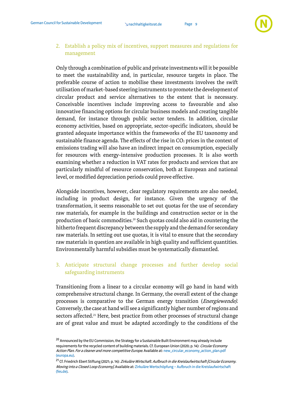

#### <span id="page-9-0"></span>2. Establish a policy mix of incentives, support measures and regulations for management

Only through a combination of public and private investments will it be possible to meet the sustainability and, in particular, resource targets in place. The preferable course of action to mobilise these investments involves the swift utilisation of market-based steering instruments to promote the development of circular product and service alternatives to the extent that is necessary. Conceivable incentives include improving access to favourable and also innovative financing options for circular business models and creating tangible demand, for instance through public sector tenders. In addition, circular economy activities, based on appropriate, sector-specific indicators, should be granted adequate importance within the frameworks of the EU taxonomy and sustainable finance agenda. The effects of the rise in  $CO<sub>2</sub>$  prices in the context of emissions trading will also have an indirect impact on consumption, especially for resources with energy-intensive production processes. It is also worth examining whether a reduction in VAT rates for products and services that are particularly mindful of resource conservation, both at European and national level, or modified depreciation periods could prove effective.

Alongside incentives, however, clear regulatory requirements are also needed, including in product design, for instance. Given the urgency of the transformation, it seems reasonable to set out quotas for the use of secondary raw materials, for example in the buildings and construction sector or in the production of basic commodities. <sup>20</sup> Such quotas could also aid in countering the hitherto frequent discrepancy between the supply and the demand for secondary raw materials. In setting out use quotas, it is vital to ensure that the secondary raw materials in question are available in high quality and sufficient quantities. Environmentally harmful subsidies must be systematically dismantled.

#### <span id="page-9-1"></span>3. Anticipate structural change processes and further develop social safeguarding instruments

Transitioning from a linear to a circular economy will go hand in hand with comprehensive structural change. In Germany, the overall extent of the change processes is comparative to the German energy transition (Energiewende). Conversely, the case at hand will see a significantly higher number of regions and sectors affected.<sup>21</sup> Here, best practice from other processes of structural change are of great value and must be adapted accordingly to the conditions of the

<sup>&</sup>lt;sup>20</sup> Announced by the EU Commission, the Strategy for a Sustainable Built Environment may already include requirements for the recycled content of building materials. Cf. European Union (2020; p. 14): Circular Economy Action Plan. For a cleaner and more competitive Europe. Available at: new\_circular\_economy\_action\_plan.pdf [\(europa.eu\).](https://ec.europa.eu/environment/pdf/circular-economy/new_circular_economy_action_plan.pdf)

<sup>&</sup>lt;sup>21</sup> Cf. Friedrich Ebert Stiftung (2021; p. 14): *Zirkuläre Wirtschaft. Aufbruch in die Kreislaufwirtschaft [Circular Economy.* Moving into a Closed Loop Economy]. Available at: Zirkuläre Wertschöpfung - Aufbruch in die Kreislaufwirtschaft [\(fes.de\).](http://library.fes.de/pdf-files/wiso/18134.pdf)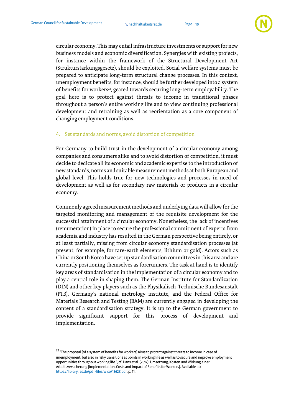

circular economy. This may entail infrastructure investments or support for new business models and economic diversification. Synergies with existing projects, for instance within the framework of the Structural Development Act (Strukturstärkungsgesetz), should be exploited. Social welfare systems must be prepared to anticipate long-term structural change processes. In this context, unemployment benefits, for instance, should be further developed into a system of benefits for workers<sup>22</sup>, geared towards securing long-term employability. The goal here is to protect against threats to income in transitional phases throughout a person's entire working life and to view continuing professional development and retraining as well as reorientation as a core component of changing employment conditions.

#### <span id="page-10-0"></span>4. Set standards and norms, avoid distortion of competition

For Germany to build trust in the development of a circular economy among companies and consumers alike and to avoid distortion of competition, it must decide to dedicate all its economic and academic expertise to the introduction of new standards, norms and suitable measurement methods at both European and global level. This holds true for new technologies and processes in need of development as well as for secondary raw materials or products in a circular economy.

Commonly agreed measurement methods and underlying data will allow for the targeted monitoring and management of the requisite development for the successful attainment of a circular economy. Nonetheless, the lack of incentives (remuneration) in place to secure the professional commitment of experts from academia and industry has resulted in the German perspective being entirely, or at least partially, missing from circular economy standardisation processes (at present, for example, for rare-earth elements, lithium or gold). Actors such as China or South Korea have set up standardisation committees in this area and are currently positioning themselves as forerunners. The task at hand is to identify key areas of standardisation in the implementation of a circular economy and to play a central role in shaping them. The German Institute for Standardization (DIN) and other key players such as the Physikalisch-Technische Bundesanstalt (PTB), Germany's national metrology institute, and the Federal Office for Materials Research and Testing (BAM) are currently engaged in developing the content of a standardisation strategy. It is up to the German government to provide significant support for this process of development and implementation.

<sup>&</sup>lt;sup>22</sup> "The proposal [of a system of benefits for workers] aims to protect against threats to income in case of unemployment, but also in risky transitions at points in working life as well as to secure and improve employment opportunities throughout working life.", cf. Hans et al. (2017): Umsetzung, Kosten und Wirkung einer Arbeitsversicherung [Implementation, Costs and Impact of Benefits for Workers]. Available at: [https://library.fes.de/pdf-files/wiso/13628.pdf,](https://library.fes.de/pdf-files/wiso/13628.pdf) p. 11.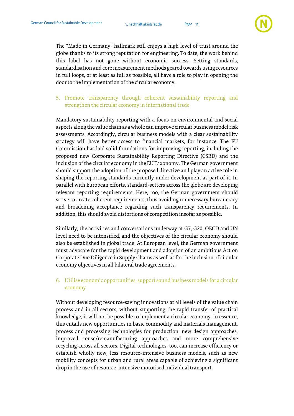

The "Made in Germany" hallmark still enjoys a high level of trust around the globe thanks to its strong reputation for engineering. To date, the work behind this label has not gone without economic success. Setting standards, standardisation and core measurement methods geared towards using resources in full loops, or at least as full as possible, all have a role to play in opening the door to the implementation of the circular economy.

#### <span id="page-11-0"></span>5. Promote transparency through coherent sustainability reporting and strengthen the circular economy in international trade

Mandatory sustainability reporting with a focus on environmental and social aspects along the value chain as a whole can improve circular business model risk assessments. Accordingly, circular business models with a clear sustainability strategy will have better access to financial markets, for instance. The EU Commission has laid solid foundations for improving reporting, including the proposed new Corporate Sustainability Reporting Directive (CSRD) and the inclusion of the circular economy in the EU Taxonomy. The German government should support the adoption of the proposed directive and play an active role in shaping the reporting standards currently under development as part of it. In parallel with European efforts, standard-setters across the globe are developing relevant reporting requirements. Here, too, the German government should strive to create coherent requirements, thus avoiding unnecessary bureaucracy and broadening acceptance regarding such transparency requirements. In addition, this should avoid distortions of competition insofar as possible.

Similarly, the activities and conversations underway at G7, G20, OECD and UN level need to be intensified, and the objectives of the circular economy should also be established in global trade. At European level, the German government must advocate for the rapid development and adoption of an ambitious Act on Corporate Due Diligence in Supply Chains as well as for the inclusion of circular economy objectives in all bilateral trade agreements.

#### <span id="page-11-1"></span>6. Utilise economic opportunities, support sound business models for a circular economy

Without developing resource-saving innovations at all levels of the value chain process and in all sectors, without supporting the rapid transfer of practical knowledge, it will not be possible to implement a circular economy. In essence, this entails new opportunities in basic commodity and materials management, process and processing technologies for production, new design approaches, improved reuse/remanufacturing approaches and more comprehensive recycling across all sectors. Digital technologies, too, can increase efficiency or establish wholly new, less resource-intensive business models, such as new mobility concepts for urban and rural areas capable of achieving a significant drop in the use of resource-intensive motorised individual transport.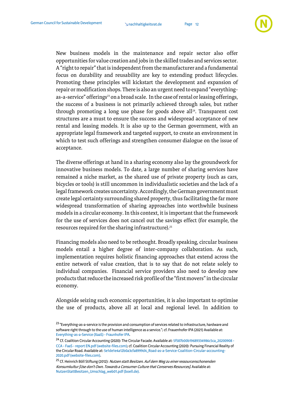

New business models in the maintenance and repair sector also offer opportunities for value creation and jobs in the skilled trades and services sector. A "right to repair" that is independent from the manufacturer and a fundamental focus on durability and reusability are key to extending product lifecycles. Promoting these principles will kickstart the development and expansion of repair or modification shops. There is also an urgent need to expand "everythingas-a-service" offerings<sup>23</sup> on a broad scale. In the case of rental or leasing offerings, the success of a business is not primarily achieved through sales, but rather through promoting a long use phase for goods above all<sup>24</sup>. Transparent cost structures are a must to ensure the success and widespread acceptance of new rental and leasing models. It is also up to the German government, with an appropriate legal framework and targeted support, to create an environment in which to test such offerings and strengthen consumer dialogue on the issue of acceptance.

The diverse offerings at hand in a sharing economy also lay the groundwork for innovative business models. To date, a large number of sharing services have remained a niche market, as the shared use of private property (such as cars, bicycles or tools) is still uncommon in individualistic societies and the lack of a legal framework creates uncertainty. Accordingly, the German government must create legal certainty surrounding shared property, thus facilitating the far more widespread transformation of sharing approaches into worthwhile business models in a circular economy. In this context, it is important that the framework for the use of services does not cancel out the savings effect (for example, the resources required for the sharing infrastructure).<sup>25</sup>

Financing models also need to be rethought. Broadly speaking, circular business models entail a higher degree of inter-company collaboration. As such, implementation requires holistic financing approaches that extend across the entire network of value creation, that is to say that do not relate solely to individual companies. Financial service providers also need to develop new products that reduce the increased risk profile of the "first movers" in the circular economy.

Alongside seizing such economic opportunities, it is also important to optimise the use of products, above all at local and regional level. In addition to

<sup>&</sup>lt;sup>23</sup> "Everything-as-a-service is the provision and consumption of services related to infrastructure, hardware and software right through to the use of human intelligence as a service."; cf. Frauenhofer IPA (2021) Available at: [Everything-as-a-Service \(XaaS\) -](https://www.ipa.fraunhofer.de/de/Kompetenzen/kompetenzzentrum-digitale-werkzeuge-in-der-produktion/cloud-plattformen/everything-as-a-service--xaas.html) Fraunhofer IPA.

<sup>&</sup>lt;sup>24</sup> Cf. Coalition Circular Accounting (2020): The Circular Facade. Available at: [5f587b00b19689334986c5ca\\_20200908 -](https://assets.website-files.com/5d26d80e8836af2d12ed1269/5f587b00b19689334986c5ca_20200908%20-%20CCA%20-%20FaaS%20-%20report%20EN.pdf) CCA - [FaaS -report EN.pdf \(website-files.com\);](https://assets.website-files.com/5d26d80e8836af2d12ed1269/5f587b00b19689334986c5ca_20200908%20-%20CCA%20-%20FaaS%20-%20report%20EN.pdf) cf. Coalition Circular Accounting (2020): Pursuing Financial Reality of the Circular Road. Available at[: 5e1de1e4a12b0a3cfa8999d4\\_Road-as-a-Service-Coalition-Circular-accounting-](https://assets.website-files.com/5d26d80e8836af2d12ed1269/5e1de1e4a12b0a3cfa8999d4_Road-as-a-Service-Coalition-Circular-accounting-2020.pdf)[2020.pdf \(website-files.com\).](https://assets.website-files.com/5d26d80e8836af2d12ed1269/5e1de1e4a12b0a3cfa8999d4_Road-as-a-Service-Coalition-Circular-accounting-2020.pdf) 

<sup>&</sup>lt;sup>25</sup> Cf. Heinrich Böll Stiftung (2012): Nutzen statt Besitzen. Auf dem Weg zu einer ressourcenschonenden Konsumkultur [Use don't Own. Towards a Consumer Culture that Conserves Resources]. Available at: [NutzenStattBesitzen\\_Umschlag\\_web01.pdf \(boell.de\).](https://www.boell.de/sites/default/files/Endf_NutzenStattBesitzen_web.pdf)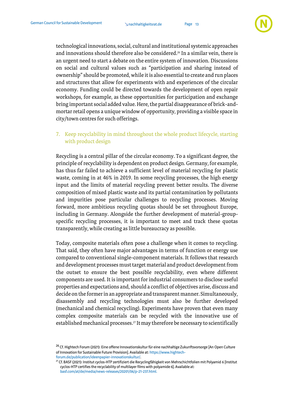

technological innovations, social, cultural and institutional systemic approaches and innovations should therefore also be considered. <sup>26</sup> In a similar vein, there is an urgent need to start a debate on the entire system of innovation. Discussions on social and cultural values such as "participation and sharing instead of ownership" should be promoted, while it is also essential to create and run places and structures that allow for experiments with and experiences of the circular economy. Funding could be directed towards the development of open repair workshops, for example, as these opportunities for participation and exchange bring important social added value. Here, the partial disappearance of brick-andmortar retail opens a unique window of opportunity, providing a visible space in city/town centres for such offerings.

<span id="page-13-0"></span>7. Keep recyclability in mind throughout the whole product lifecycle, starting with product design

Recycling is a central pillar of the circular economy. To a significant degree, the principle of recyclability is dependent on product design. Germany, for example, has thus far failed to achieve a sufficient level of material recycling for plastic waste, coming in at 46% in 2019. In some recycling processes, the high energy input and the limits of material recycling prevent better results. The diverse composition of mixed plastic waste and its partial contamination by pollutants and impurities pose particular challenges to recycling processes. Moving forward, more ambitious recycling quotas should be set throughout Europe, including in Germany. Alongside the further development of material-groupspecific recycling processes, it is important to meet and track these quotas transparently, while creating as little bureaucracy as possible.

Today, composite materials often pose a challenge when it comes to recycling. That said, they often have major advantages in terms of function or energy use compared to conventional single-component materials. It follows that research and development processes must target material and product development from the outset to ensure the best possible recyclability, even where different components are used. It is important for industrial consumers to disclose useful properties and expectations and, should a conflict of objectives arise, discuss and decide on the former in an appropriate and transparent manner. Simultaneously, disassembly and recycling technologies must also be further developed (mechanical and chemical recycling). Experiments have proven that even many complex composite materials can be recycled with the innovative use of established mechanical processes. <sup>27</sup> It may therefore be necessary to scientifically

<sup>&</sup>lt;sup>26</sup> Cf. Hightech Forum (2021): Eine offene Innovationskultur für eine nachhaltige Zukunftsvorsorge [An Open Culture of Innovation for Sustainable Future Provision]. Available at[: https://www.hightech](https://www.hightech-forum.de/publication/ideenpapier-innovationskultur/)[forum.de/publication/ideenpapier-innovationskultur/.](https://www.hightech-forum.de/publication/ideenpapier-innovationskultur/)

<sup>&</sup>lt;sup>27</sup> Cf. BASF (2021): Institut cyclos-HTP zertifiziert die Recyclingfähigkeit von Mehrschichtfolien mit Polyamid 6 [Institut cyclos-HTP certifies the recyclability of multilayer films with polyamide 6]. Available at:

[basf.com/at/de/media/news-releases/20201/06/p-21-237.html.](https://www.basf.com/at/de/media/news-releases/20201/06/p-21-237.html)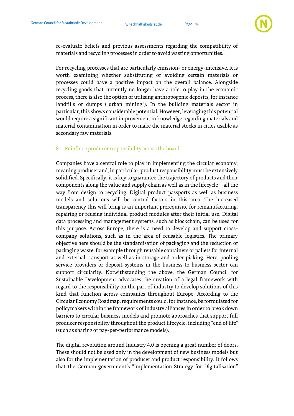

re-evaluate beliefs and previous assessments regarding the compatibility of materials and recycling processes in order to avoid wasting opportunities.

For recycling processes that are particularly emission- or energy-intensive, it is worth examining whether substituting or avoiding certain materials or processes could have a positive impact on the overall balance. Alongside recycling goods that currently no longer have a role to play in the economic process, there is also the option of utilising anthropogenic deposits, for instance landfills or dumps ("urban mining"). In the building materials sector in particular, this shows considerable potential. However, leveraging this potential would require a significant improvement in knowledge regarding materials and material contamination in order to make the material stocks in cities usable as secondary raw materials.

#### <span id="page-14-0"></span>8. Reinforce producer responsibility across the board

Companies have a central role to play in implementing the circular economy, meaning producer and, in particular, product responsibility must be extensively solidified. Specifically, it is key to guarantee the trajectory of products and their components along the value and supply chain as well as in the lifecycle – all the way from design to recycling. Digital product passports as well as business models and solutions will be central factors in this area. The increased transparency this will bring is an important prerequisite for remanufacturing, repairing or reusing individual product modules after their initial use. Digital data processing and management systems, such as blockchain, can be used for this purpose. Across Europe, there is a need to develop and support crosscompany solutions, such as in the area of reusable logistics. The primary objective here should be the standardisation of packaging and the reduction of packaging waste, for example through reusable containers or pallets for internal and external transport as well as in storage and order picking. Here, pooling service providers or deposit systems in the business-to-business sector can support circularity. Notwithstanding the above, the German Council for Sustainable Development advocates the creation of a legal framework with regard to the responsibility on the part of industry to develop solutions of this kind that function across companies throughout Europe. According to the Circular Economy Roadmap, requirements could, for instance, be formulated for policymakers within the framework of industry alliances in order to break down barriers to circular business models and promote approaches that support full producer responsibility throughout the product lifecycle, including "end of life" (such as sharing or pay-per-performance models).

The digital revolution around Industry 4.0 is opening a great number of doors. These should not be used only in the development of new business models but also for the implementation of producer and product responsibility. It follows that the German government's "Implementation Strategy for Digitalisation"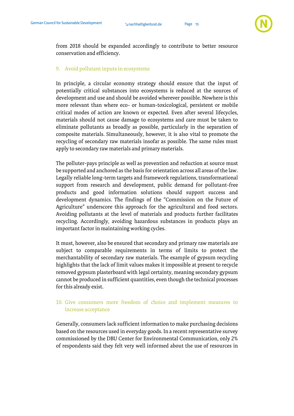

from 2018 should be expanded accordingly to contribute to better resource conservation and efficiency.

#### <span id="page-15-0"></span>9. Avoid pollutant inputs in ecosystems

In principle, a circular economy strategy should ensure that the input of potentially critical substances into ecosystems is reduced at the sources of development and use and should be avoided wherever possible. Nowhere is this more relevant than where eco- or human-toxicological, persistent or mobile critical modes of action are known or expected. Even after several lifecycles, materials should not cause damage to ecosystems and care must be taken to eliminate pollutants as broadly as possible, particularly in the separation of composite materials. Simultaneously, however, it is also vital to promote the recycling of secondary raw materials insofar as possible. The same rules must apply to secondary raw materials and primary materials.

The polluter-pays principle as well as prevention and reduction at source must be supported and anchored as the basis for orientation across all areas of the law. Legally reliable long-term targets and framework regulations, transformational support from research and development, public demand for pollutant-free products and good information solutions should support success and development dynamics. The findings of the "Commission on the Future of Agriculture" underscore this approach for the agricultural and food sectors. Avoiding pollutants at the level of materials and products further facilitates recycling. Accordingly, avoiding hazardous substances in products plays an important factor in maintaining working cycles.

It must, however, also be ensured that secondary and primary raw materials are subject to comparable requirements in terms of limits to protect the merchantability of secondary raw materials. The example of gypsum recycling highlights that the lack of limit values makes it impossible at present to recycle removed gypsum plasterboard with legal certainty, meaning secondary gypsum cannot be produced in sufficient quantities, even though the technical processes for this already exist.

#### <span id="page-15-1"></span>10. Give consumers more freedom of choice and implement measures to increase acceptance

Generally, consumers lack sufficient information to make purchasing decisions based on the resources used in everyday goods. In a recent representative survey commissioned by the DBU Center for Environmental Communication, only 2% of respondents said they felt very well informed about the use of resources in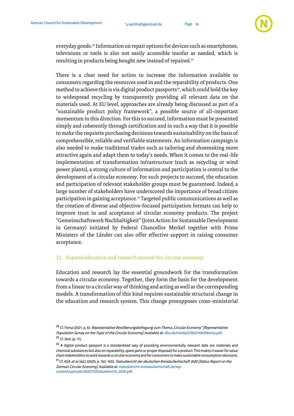

everyday goods. <sup>28</sup> Information on repair options for devices such as smartphones, televisions or tools is also not easily accessible insofar as needed, which is resulting in products being bought new instead of repaired. $^{29}$ 

There is a clear need for action to increase the information available to consumers regarding the resources used in and the reparability of products. One method to achieve this is via digital product passports<sup>30</sup>, which could hold the key to widespread recycling by transparently providing all relevant data on the materials used. At EU level, approaches are already being discussed as part of a "sustainable product policy framework", a possible source of all-important momentum in this direction. For this to succeed, information must be presented simply and coherently through certification and in such a way that it is possible to make the requisite purchasing decisions towards sustainability on the basis of comprehensible, reliable and verifiable statements. An information campaign is also needed to make traditional trades such as tailoring and shoemaking more attractive again and adapt them to today's needs. When it comes to the real-life implementation of transformation infrastructure (such as recycling or wind power plants), a strong culture of information and participation is central to the development of a circular economy. For such projects to succeed, the education and participation of relevant stakeholder groups must be guaranteed. Indeed, a large number of stakeholders have underscored the importance of broad citizen participation in gaining acceptance. <sup>31</sup> Targeted public communications as well as the creation of diverse and objective-focused participation formats can help to improve trust in and acceptance of circular economy products. The project "Gemeinschaftswerk Nachhaltigkeit"(Joint Action for Sustainable Development in Germany) initiated by Federal Chancellor Merkel together with Prime Ministers of the Länder can also offer effective support in raising consumer acceptance.

#### <span id="page-16-0"></span>11. Expand education and research around the circular economy

Education and research lay the essential groundwork for the transformation towards a circular economy. Together, they form the basis for the development from a linear to a circular way of thinking and acting as well as the corresponding models. A transformation of this kind requires sustainable structural change in the education and research system. This change presupposes cross-ministerial

<sup>&</sup>lt;sup>28</sup> Cf. Forsa (2021; p. 6): *Repräsentative Bevölkerungsbefragung zum Thema "Circular Economy" [Representative* Population Survey on the Topic of the Circular Economy]. Available at[: dbu.de/media/270621100108orea.pdf.](http://www.dbu.de/media/270621100108orea.pdf) <sup>29</sup> Cf. ibid. (p. 11).

<sup>&</sup>lt;sup>30</sup> A digital product passport is a standardised way of providing environmentally relevant data (on materials and chemical substances but also on reparability, spare parts or proper disposal) for a product. This makes it easier for value chain stakeholders towork towards a circular economy and for consumers to make sustainable consumption decisions.

<sup>&</sup>lt;sup>31</sup> Cf. ASA *et al.* (ed.) (2020; p. 162-165): *Statusbericht der deutschen Kreislaufwirtschaft 2020 [Status Report on the* German Circular Economy]. Available at[: statusbericht-kreislaufwirtschaft.de/wp](https://statusbericht-kreislaufwirtschaft.de/wp-content/uploads/2020/11/Statusbericht_2020.pdf)[content/uploads/2020/11/Statusbericht\\_2020.pdf.](https://statusbericht-kreislaufwirtschaft.de/wp-content/uploads/2020/11/Statusbericht_2020.pdf)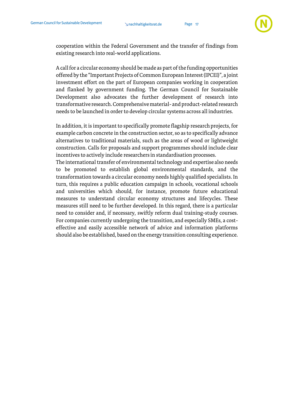

cooperation within the Federal Government and the transfer of findings from existing research into real-world applications.

A call for a circular economy should be made as part of the funding opportunities offered by the "Important Projects of Common European Interest (IPCEI)", a joint investment effort on the part of European companies working in cooperation and flanked by government funding. The German Council for Sustainable Development also advocates the further development of research into transformative research. Comprehensive material- and product-related research needs to be launched in order to develop circular systems across all industries.

In addition, it is important to specifically promote flagship research projects, for example carbon concrete in the construction sector, so as to specifically advance alternatives to traditional materials, such as the areas of wood or lightweight construction. Calls for proposals and support programmes should include clear incentives to actively include researchers in standardisation processes.

The international transfer of environmental technology and expertise also needs to be promoted to establish global environmental standards, and the transformation towards a circular economy needs highly qualified specialists. In turn, this requires a public education campaign in schools, vocational schools and universities which should, for instance, promote future educational measures to understand circular economy structures and lifecycles. These measures still need to be further developed. In this regard, there is a particular need to consider and, if necessary, swiftly reform dual training-study courses. For companies currently undergoing the transition, and especially SMEs, a costeffective and easily accessible network of advice and information platforms should also be established, based on the energy transition consulting experience.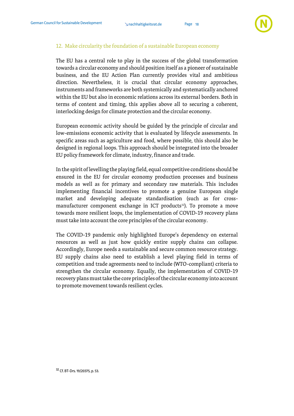

#### <span id="page-18-0"></span>12. Make circularity the foundation of a sustainable European economy

The EU has a central role to play in the success of the global transformation towards a circular economy and should position itself as a pioneer of sustainable business, and the EU Action Plan currently provides vital and ambitious direction. Nevertheless, it is crucial that circular economy approaches, instruments and frameworks are both systemically and systematically anchored within the EU but also in economic relations across its external borders. Both in terms of content and timing, this applies above all to securing a coherent, interlocking design for climate protection and the circular economy.

European economic activity should be guided by the principle of circular and low-emissions economic activity that is evaluated by lifecycle assessments. In specific areas such as agriculture and food, where possible, this should also be designed in regional loops. This approach should be integrated into the broader EU policy framework for climate, industry, finance and trade.

In the spirit of levelling the playing field, equal competitive conditions should be ensured in the EU for circular economy production processes and business models as well as for primary and secondary raw materials. This includes implementing financial incentives to promote a genuine European single market and developing adequate standardisation (such as for crossmanufacturer component exchange in ICT products<sup>32</sup>). To promote a move towards more resilient loops, the implementation of COVID-19 recovery plans must take into account the core principles of the circular economy.

The COVID-19 pandemic only highlighted Europe's dependency on external resources as well as just how quickly entire supply chains can collapse. Accordingly, Europe needs a sustainable and secure common resource strategy. EU supply chains also need to establish a level playing field in terms of competition and trade agreements need to include (WTO-compliant) criteria to strengthen the circular economy. Equally, the implementation of COVID-19 recovery plans must take the core principles of the circular economy into account to promote movement towards resilient cycles.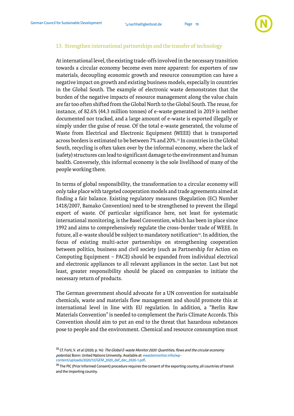

#### <span id="page-19-0"></span>13. Strengthen international partnerships and the transfer of technology

At international level, the existing trade-offs involved in the necessary transition towards a circular economy become even more apparent: for exporters of raw materials, decoupling economic growth and resource consumption can have a negative impact on growth and existing business models, especially in countries in the Global South. The example of electronic waste demonstrates that the burden of the negative impacts of resource management along the value chain are far too often shifted from the Global North to the Global South. The reuse, for instance, of 82.6% (44.3 million tonnes) of e-waste generated in 2019 is neither documented nor tracked, and a large amount of e-waste is exported illegally or simply under the guise of reuse. Of the total e-waste generated, the volume of Waste from Electrical and Electronic Equipment (WEEE) that is transported across borders is estimated to be between 7% and 20%. <sup>33</sup> In countries in the Global South, recycling is often taken over by the informal economy, where the lack of (safety) structures can lead to significant damage to the environment and human health. Conversely, this informal economy is the sole livelihood of many of the people working there.

In terms of global responsibility, the transformation to a circular economy will only take place with targeted cooperation models and trade agreements aimed at finding a fair balance. Existing regulatory measures (Regulation (EC) Number 1418/2007, Bamako Convention) need to be strengthened to prevent the illegal export of waste. Of particular significance here, not least for systematic international monitoring, is the Basel Convention, which has been in place since 1992 and aims to comprehensively regulate the cross-border trade of WEEE. In future, all e-waste should be subject to mandatory notification<sup>34</sup>. In addition, the focus of existing multi-actor partnerships on strengthening cooperation between politics, business and civil society (such as Partnership for Action on Computing Equipment – PACE) should be expanded from individual electrical and electronic appliances to all relevant appliances in the sector. Last but not least, greater responsibility should be placed on companies to initiate the necessary return of products.

The German government should advocate for a UN convention for sustainable chemicals, waste and materials flow management and should promote this at international level in line with EU regulation. In addition, a "Berlin Raw Materials Convention" is needed to complement the Paris Climate Accords. This Convention should aim to put an end to the threat that hazardous substances pose to people and the environment. Chemical and resource consumption must

<sup>&</sup>lt;sup>33</sup> Cf. Forti, V. et al. (2020; p. 14): The Global E-waste Monitor 2020: Quantities, flows and the circular economy potential, Bonn: United Nations University. Available at[: ewastemonitor.info/wp](http://ewastemonitor.info/wp-content/uploads/2020/12/GEM_2020_def_dec_2020-1.pdf)[content/uploads/2020/12/GEM\\_2020\\_def\\_dec\\_2020-1.pdf.](http://ewastemonitor.info/wp-content/uploads/2020/12/GEM_2020_def_dec_2020-1.pdf) 

<sup>&</sup>lt;sup>34</sup> The PIC (Prior Informed Consent) procedure requires the consent of the exporting country, all countries of transit and the importing country.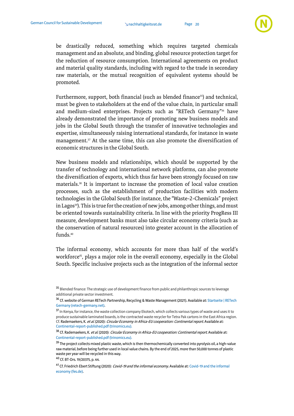

be drastically reduced, something which requires targeted chemicals management and an absolute, and binding, global resource protection target for the reduction of resource consumption. International agreements on product and material quality standards, including with regard to the trade in secondary raw materials, or the mutual recognition of equivalent systems should be promoted.

Furthermore, support, both financial (such as blended finance<sup>35</sup>) and technical, must be given to stakeholders at the end of the value chain, in particular small and medium-sized enterprises. Projects such as "RETech Germany" <sup>36</sup> have already demonstrated the importance of promoting new business models and jobs in the Global South through the transfer of innovative technologies and expertise, simultaneously raising international standards, for instance in waste management. <sup>37</sup> At the same time, this can also promote the diversification of economic structures in the Global South.

New business models and relationships, which should be supported by the transfer of technology and international network platforms, can also promote the diversification of exports, which thus far have been strongly focused on raw materials. <sup>38</sup> It is important to increase the promotion of local value creation processes, such as the establishment of production facilities with modern technologies in the Global South (for instance, the "Waste-2-Chemicals" project in Lagos<sup>39</sup>). This is true for the creation of new jobs, among other things, and must be oriented towards sustainability criteria. In line with the priority ProgRess III measure, development banks must also take circular economy criteria (such as the conservation of natural resources) into greater account in the allocation of funds. 40

The informal economy, which accounts for more than half of the world's workforce<sup>41</sup> , plays a major role in the overall economy, especially in the Global South. Specific inclusive projects such as the integration of the informal sector

<sup>&</sup>lt;sup>35</sup> Blended finance: The strategic use of development finance from public and philanthropic sources to leverage additional private sector investment.

<sup>36</sup> Cf. website of German RETech Partnership, Recycling & Waste Management (2021). Available at[: Startseite | RETech](https://www.retech-germany.net/)  [Germany \(retech-germany.net\).](https://www.retech-germany.net/) 

<sup>37</sup> In Kenya, for instance, the waste collection compan[y Ekotech,](http://ekotechkenya.com/) which collects various types of waste and uses it to produce sustainable laminated boards, is the contracted waste recycler for Tetra Pak cartons in the East Africa region. Cf. Rademaekers, K. et al. (2020): Circular Economy in Africa-EU cooperation: Continental report. Available at: [Continental-report-published.pdf \(trinomics.eu\).](http://trinomics.eu/wp-content/uploads/2021/03/Continental-report-published.pdf) 

<sup>38</sup> Cf. Rademaekers, K. et al. (2020): Circular Economy in Africa-EU cooperation: Continental report. Available at: [Continental-report-published.pdf \(trinomics.eu\).](http://trinomics.eu/wp-content/uploads/2021/03/Continental-report-published.pdf)

<sup>&</sup>lt;sup>39</sup> The project collects mixed plastic waste, which is then thermochemically converted into pyrolysis oil, a high-value raw material, before being further used in local value chains. By the end of 2025, more than 50,000 tonnes of plastic waste per year will be recycled in this way.

<sup>40</sup> Cf. BT-Drs. 19/20375, p. 44.

<sup>&</sup>lt;sup>41</sup> Cf. Friedrich Ebert Stiftung (2020): *Covid-19 and the informal economy*. Available at: Covid-19 and the informal [economy \(fes.de\).](http://library.fes.de/pdf-files/iez/16414.pdf)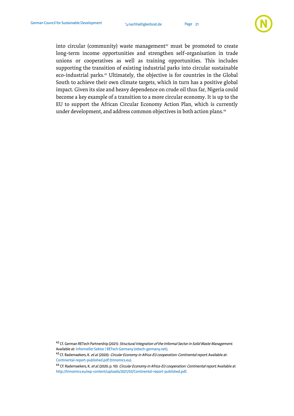

into circular (community) waste management<sup>42</sup> must be promoted to create long-term income opportunities and strengthen self-organisation in trade unions or cooperatives as well as training opportunities. This includes supporting the transition of existing industrial parks into circular sustainable eco-industrial parks. <sup>43</sup> Ultimately, the objective is for countries in the Global South to achieve their own climate targets, which in turn has a positive global impact. Given its size and heavy dependence on crude oil thus far, Nigeria could become a key example of a transition to a more circular economy. It is up to the EU to support the African Circular Economy Action Plan, which is currently under development, and address common objectives in both action plans. 44

<sup>&</sup>lt;sup>42</sup> Cf. German RETech Partnership (2021): Structural Integration of the Informal Sector in Solid Waste Management. Available at[: Informeller Sektor | RETech Germany \(retech-germany.net\).](https://www.retech-germany.net/themen/internationale-zusammenarbeit/informeller-sektor)

<sup>43</sup> Cf. Rademaekers, K. et al. (2020): Circular Economy in Africa-EU cooperation: Continental report. Available at: [Continental-report-published.pdf \(trinomics.eu\).](http://trinomics.eu/wp-content/uploads/2021/03/Continental-report-published.pdf)

<sup>&</sup>lt;sup>44</sup> Cf: Rademaekers, K. *et al.* (2020; p. 10): *Circular Economy in Africa-EU cooperation: Continental report.* Available at [http://trinomics.eu/wp-content/uploads/2021/03/Continental-report-published.pdf.](http://trinomics.eu/wp-content/uploads/2021/03/Continental-report-published.pdf)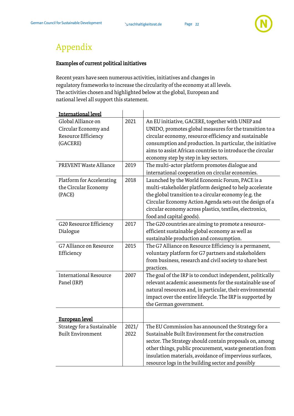

## <span id="page-22-1"></span>Appendix

#### <span id="page-22-0"></span>Examples of current political initiatives

Recent years have seen numerous activities, initiatives and changes in regulatory frameworks to increase the circularity of the economy at all levels. The activities chosen and highlighted below at the global, European and national level all support this statement.

| <b>International level</b>                                                                                                                  |                      |                                                                                                                                                                                                                                                                                                                                                                                                                                                                                                  |
|---------------------------------------------------------------------------------------------------------------------------------------------|----------------------|--------------------------------------------------------------------------------------------------------------------------------------------------------------------------------------------------------------------------------------------------------------------------------------------------------------------------------------------------------------------------------------------------------------------------------------------------------------------------------------------------|
| Global Alliance on<br>Circular Economy and<br>Resource Efficiency<br>(GACERE)<br><b>PREVENT Waste Alliance</b><br>Platform for Accelerating | 2021<br>2019<br>2018 | An EU initiative, GACERE, together with UNEP and<br>UNIDO, promotes global measures for the transition to a<br>circular economy, resource efficiency and sustainable<br>consumption and production. In particular, the initiative<br>aims to assist African countries to introduce the circular<br>economy step by step in key sectors.<br>The multi-actor platform promotes dialogue and<br>international cooperation on circular economies.<br>Launched by the World Economic Forum, PACE is a |
| the Circular Economy<br>(PACE)                                                                                                              |                      | multi-stakeholder platform designed to help accelerate<br>the global transition to a circular economy (e.g. the<br>Circular Economy Action Agenda sets out the design of a<br>circular economy across plastics, textiles, electronics,<br>food and capital goods).                                                                                                                                                                                                                               |
| G20 Resource Efficiency<br>Dialogue                                                                                                         | 2017                 | The G20 countries are aiming to promote a resource-<br>efficient sustainable global economy as well as<br>sustainable production and consumption.                                                                                                                                                                                                                                                                                                                                                |
| G7 Alliance on Resource<br>Efficiency                                                                                                       | 2015                 | The G7 Alliance on Resource Efficiency is a permanent,<br>voluntary platform for G7 partners and stakeholders<br>from business, research and civil society to share best<br>practices.                                                                                                                                                                                                                                                                                                           |
| <b>International Resource</b><br>Panel (IRP)                                                                                                | 2007                 | The goal of the IRP is to conduct independent, politically<br>relevant academic assessments for the sustainable use of<br>natural resources and, in particular, their environmental<br>impact over the entire lifecycle. The IRP is supported by<br>the German government.                                                                                                                                                                                                                       |
| European level                                                                                                                              |                      |                                                                                                                                                                                                                                                                                                                                                                                                                                                                                                  |
| <b>Strategy for a Sustainable</b><br><b>Built Environment</b>                                                                               | 2021/<br>2022        | The EU Commission has announced the Strategy for a<br>Sustainable Built Environment for the construction<br>sector. The Strategy should contain proposals on, among<br>other things, public procurement, waste generation from<br>insulation materials, avoidance of impervious surfaces,<br>resource logs in the building sector and possibly                                                                                                                                                   |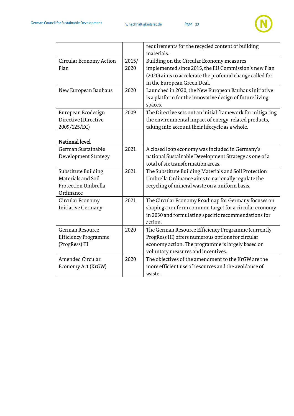

|                                                                               |               | requirements for the recycled content of building<br>materials.                                                                                                                                      |
|-------------------------------------------------------------------------------|---------------|------------------------------------------------------------------------------------------------------------------------------------------------------------------------------------------------------|
| Circular Economy Action<br>Plan                                               | 2015/<br>2020 | Building on the Circular Economy measures<br>implemented since 2015, the EU Commission's new Plan<br>(2020) aims to accelerate the profound change called for<br>in the European Green Deal.         |
| New European Bauhaus                                                          | 2020          | Launched in 2020, the New European Bauhaus initiative<br>is a platform for the innovative design of future living<br>spaces.                                                                         |
| European Ecodesign<br>Directive (Directive<br>2009/125/EC)                    | 2009          | The Directive sets out an initial framework for mitigating<br>the environmental impact of energy-related products,<br>taking into account their lifecycle as a whole.                                |
| <b>National level</b>                                                         |               |                                                                                                                                                                                                      |
| German Sustainable<br>Development Strategy                                    | 2021          | A closed loop economy was included in Germany's<br>national Sustainable Development Strategy as one of a<br>total of six transformation areas.                                                       |
| Substitute Building<br>Materials and Soil<br>Protection Umbrella<br>Ordinance | 2021          | The Substitute Building Materials and Soil Protection<br>Umbrella Ordinance aims to nationally regulate the<br>recycling of mineral waste on a uniform basis.                                        |
| Circular Economy<br><b>Initiative Germany</b>                                 | 2021          | The Circular Economy Roadmap for Germany focuses on<br>shaping a uniform common target for a circular economy<br>in 2030 and formulating specific recommendations for<br>action.                     |
| German Resource<br><b>Efficiency Programme</b><br>(ProgRess) III              | 2020          | The German Resource Efficiency Programme (currently<br>ProgRess III) offers numerous options for circular<br>economy action. The programme is largely based on<br>voluntary measures and incentives. |
| <b>Amended Circular</b><br>Economy Act (KrGW)                                 | 2020          | The objectives of the amendment to the KrGW are the<br>more efficient use of resources and the avoidance of<br>waste.                                                                                |